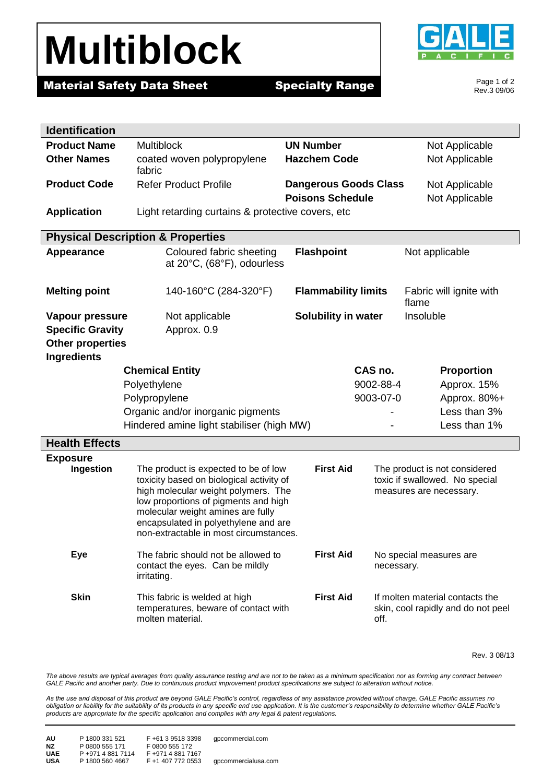## **Multiblock**



Page 1 of 2 Rev.3 09/06

### **Material Safety Data Sheet Specialty Range**

| <b>Identification</b>   |                                                                                                                                                                                                                                                                                                                                                                                                          |                                                                |                                                                       |  |
|-------------------------|----------------------------------------------------------------------------------------------------------------------------------------------------------------------------------------------------------------------------------------------------------------------------------------------------------------------------------------------------------------------------------------------------------|----------------------------------------------------------------|-----------------------------------------------------------------------|--|
| <b>Product Name</b>     | <b>Multiblock</b><br><b>UN Number</b>                                                                                                                                                                                                                                                                                                                                                                    |                                                                | Not Applicable                                                        |  |
| <b>Other Names</b>      | coated woven polypropylene<br>fabric                                                                                                                                                                                                                                                                                                                                                                     | <b>Hazchem Code</b>                                            | Not Applicable                                                        |  |
| <b>Product Code</b>     | <b>Refer Product Profile</b>                                                                                                                                                                                                                                                                                                                                                                             | <b>Dangerous Goods Class</b>                                   | Not Applicable                                                        |  |
|                         |                                                                                                                                                                                                                                                                                                                                                                                                          | <b>Poisons Schedule</b>                                        | Not Applicable                                                        |  |
| <b>Application</b>      | Light retarding curtains & protective covers, etc.                                                                                                                                                                                                                                                                                                                                                       |                                                                |                                                                       |  |
|                         | <b>Physical Description &amp; Properties</b>                                                                                                                                                                                                                                                                                                                                                             |                                                                |                                                                       |  |
| <b>Appearance</b>       | Coloured fabric sheeting<br>at 20°C, (68°F), odourless                                                                                                                                                                                                                                                                                                                                                   | <b>Flashpoint</b>                                              | Not applicable                                                        |  |
| <b>Melting point</b>    | 140-160°C (284-320°F)                                                                                                                                                                                                                                                                                                                                                                                    | <b>Flammability limits</b><br>Fabric will ignite with<br>flame |                                                                       |  |
| Vapour pressure         | Not applicable                                                                                                                                                                                                                                                                                                                                                                                           | <b>Solubility in water</b>                                     | Insoluble                                                             |  |
| <b>Specific Gravity</b> | Approx. 0.9                                                                                                                                                                                                                                                                                                                                                                                              |                                                                |                                                                       |  |
| <b>Other properties</b> |                                                                                                                                                                                                                                                                                                                                                                                                          |                                                                |                                                                       |  |
| <b>Ingredients</b>      | <b>Chemical Entity</b>                                                                                                                                                                                                                                                                                                                                                                                   | CAS no.                                                        | <b>Proportion</b>                                                     |  |
|                         | Polyethylene                                                                                                                                                                                                                                                                                                                                                                                             | 9002-88-4                                                      | Approx. 15%                                                           |  |
|                         | Polypropylene                                                                                                                                                                                                                                                                                                                                                                                            | 9003-07-0                                                      | Approx. 80%+                                                          |  |
|                         | Organic and/or inorganic pigments                                                                                                                                                                                                                                                                                                                                                                        |                                                                | Less than 3%                                                          |  |
|                         | Hindered amine light stabiliser (high MW)                                                                                                                                                                                                                                                                                                                                                                |                                                                | Less than 1%                                                          |  |
| <b>Health Effects</b>   |                                                                                                                                                                                                                                                                                                                                                                                                          |                                                                |                                                                       |  |
| <b>Exposure</b>         |                                                                                                                                                                                                                                                                                                                                                                                                          |                                                                |                                                                       |  |
| Ingestion               | <b>First Aid</b><br>The product is expected to be of low<br>The product is not considered<br>toxicity based on biological activity of<br>toxic if swallowed. No special<br>high molecular weight polymers. The<br>measures are necessary.<br>low proportions of pigments and high<br>molecular weight amines are fully<br>encapsulated in polyethylene and are<br>non-extractable in most circumstances. |                                                                |                                                                       |  |
| <b>Eye</b>              | <b>First Aid</b><br>The fabric should not be allowed to<br>No special measures are<br>contact the eyes. Can be mildly<br>necessary.<br>irritating.                                                                                                                                                                                                                                                       |                                                                |                                                                       |  |
| <b>Skin</b>             | This fabric is welded at high<br>temperatures, beware of contact with<br>molten material.                                                                                                                                                                                                                                                                                                                | <b>First Aid</b><br>off.                                       | If molten material contacts the<br>skin, cool rapidly and do not peel |  |

Rev. 3 08/13

The above results are typical averages from quality assurance testing and are not to be taken as a minimum specification nor as forming any contract between *GALE Pacific and another party. Due to continuous product improvement product specifications are subject to alteration without notice.*

*As the use and disposal of this product are beyond GALE Pacific's control, regardless of any assistance provided without charge, GALE Pacific assumes no obligation or liability for the suitability of its products in any specific end use application. It is the customer's responsibility to determine whether GALE Pacific's products are appropriate for the specific application and complies with any legal & patent regulations.*